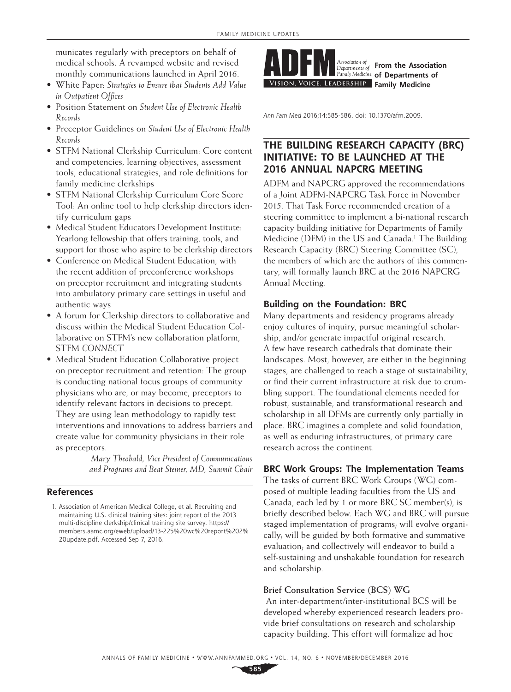municates regularly with preceptors on behalf of medical schools. A revamped website and revised monthly communications launched in April 2016.

- White Paper: *Strategies to Ensure that Students Add Value in Outpatient Offices*
- Position Statement on *Student Use of Electronic Health Records*
- Preceptor Guidelines on *Student Use of Electronic Health Records*
- STFM National Clerkship Curriculum: Core content and competencies, learning objectives, assessment tools, educational strategies, and role definitions for family medicine clerkships
- STFM National Clerkship Curriculum Core Score Tool: An online tool to help clerkship directors identify curriculum gaps
- Medical Student Educators Development Institute: Yearlong fellowship that offers training, tools, and support for those who aspire to be clerkship directors
- Conference on Medical Student Education, with the recent addition of preconference workshops on preceptor recruitment and integrating students into ambulatory primary care settings in useful and authentic ways
- A forum for Clerkship directors to collaborative and discuss within the Medical Student Education Collaborative on STFM's new collaboration platform, STFM *CONNECT*
- Medical Student Education Collaborative project on preceptor recruitment and retention: The group is conducting national focus groups of community physicians who are, or may become, preceptors to identify relevant factors in decisions to precept. They are using lean methodology to rapidly test interventions and innovations to address barriers and create value for community physicians in their role as preceptors.

*Mary Theobald, Vice President of Communications and Programs and Beat Steiner, MD, Summit Chair*

## **References**



**From the Association of Departments of SION, VOICE, LEADERSHIP** Family Medicine

*Ann Fam Med* 2016;14:585-586. doi: 10.1370/afm.2009.

# **THE BUILDING RESEARCH CAPACITY (BRC) INITIATIVE: TO BE LAUNCHED AT THE 2016 ANNUAL NAPCRG MEETING**

ADFM and NAPCRG approved the recommendations of a Joint ADFM-NAPCRG Task Force in November 2015. That Task Force recommended creation of a steering committee to implement a bi-national research capacity building initiative for Departments of Family Medicine (DFM) in the US and Canada.<sup>1</sup> The Building Research Capacity (BRC) Steering Committee (SC), the members of which are the authors of this commentary, will formally launch BRC at the 2016 NAPCRG Annual Meeting.

# **Building on the Foundation: BRC**

Many departments and residency programs already enjoy cultures of inquiry, pursue meaningful scholarship, and/or generate impactful original research. A few have research cathedrals that dominate their landscapes. Most, however, are either in the beginning stages, are challenged to reach a stage of sustainability, or find their current infrastructure at risk due to crumbling support. The foundational elements needed for robust, sustainable, and transformational research and scholarship in all DFMs are currently only partially in place. BRC imagines a complete and solid foundation, as well as enduring infrastructures, of primary care research across the continent.

# **BRC Work Groups: The Implementation Teams**

The tasks of current BRC Work Groups (WG) composed of multiple leading faculties from the US and Canada, each led by 1 or more BRC SC member(s), is briefly described below. Each WG and BRC will pursue staged implementation of programs; will evolve organically; will be guided by both formative and summative evaluation; and collectively will endeavor to build a self-sustaining and unshakable foundation for research and scholarship.

### **Brief Consultation Service (BCS) WG**

 An inter-department/inter-institutional BCS will be developed whereby experienced research leaders provide brief consultations on research and scholarship capacity building. This effort will formalize ad hoc

**585**

<sup>1.</sup> Association of American Medical College, et al. Recruiting and maintaining U.S. clinical training sites: joint report of the 2013 multi-discipline clerkship/clinical training site survey. [https://](https://members.aamc.org/eweb/upload/13-225%20wc%20report%202%20update.pdf) [members.aamc.org/eweb/upload/13](https://members.aamc.org/eweb/upload/13-225%20wc%20report%202%20update.pdf)-225%20wc%20report%202% 20update.pdf. Accessed Sep 7, 2016.